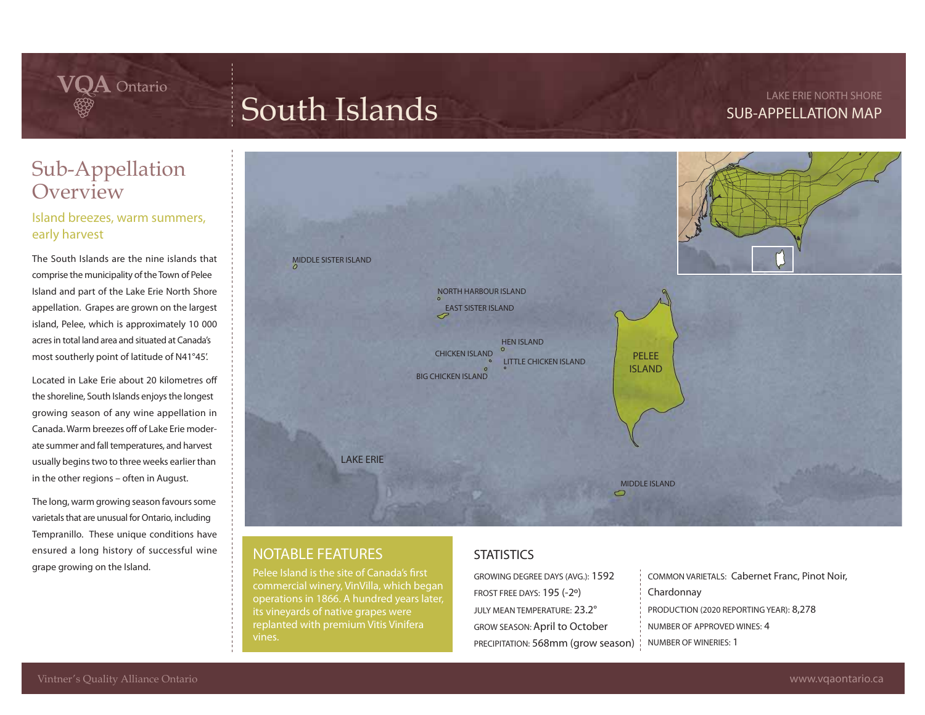**LAKE ERIE NORTH SHORE SUB-APPELLATION MAP** 

### Sub-Appellation **Overview**

 $\mathbf{VQA}$  Ontario

#### Island breezes, warm summers, early harvest

The South Islands are the nine islands that comprise the municipality of the Town of Pelee Island and part of the Lake Erie North Shore appellation. Grapes are grown on the largest island, Pelee, which is approximately 10 000 acres in total land area and situated at Canada's most southerly point of latitude of N41°45'.

Located in Lake Erie about 20 kilometres o the shoreline, South Islands enjoys the longest growing season of any wine appellation in Canada. Warm breezes off of Lake Erie moderate summer and fall temperatures, and harvest usually begins two to three weeks earlier than in the other regions – often in August.

The long, warm growing season favours some varietals that are unusual for Ontario, including Tempranillo. These unique conditions have ensured a long history of successful wine grape growing on the Island.



### **NOTABLE FEATURES**

Pelee Island is the site of Canada's first commercial winery, VinVilla, which began its vineyards of native grapes were

### **STATISTICS**

GROWING DEGREE DAYS (AVG.): **1592** FROST FREE DAYS: **195 (-2º)** JULY MEAN TEMPERATURE: **23.2°** GROW SEASON: **April to October** PRECIPITATION: **568mm (grow season) Chardonnay**

COMMON VARIETALS: **Cabernet Franc, Pinot Noir,**  PRODUCTION (2020 REPORTING YEAR): **8,278** NUMBER OF APPROVED WINES: 4 NUMBER OF WINERIES: **1**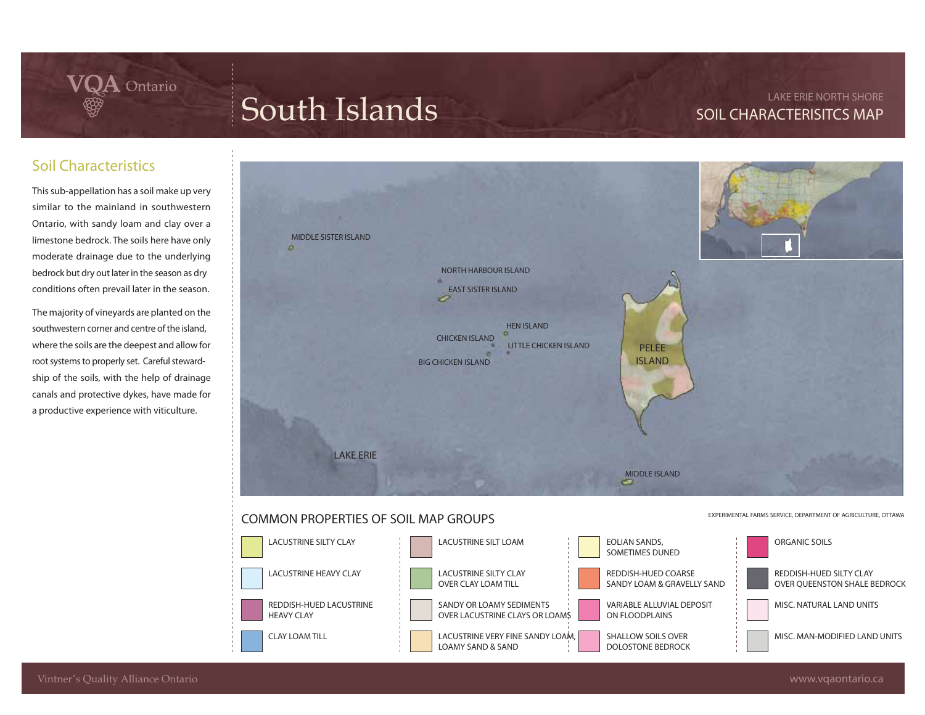# **South Islands LAKE ERIE NORTH SHORE**

### **SOIL CHARACTERISITCS MAP**

### Soil Characteristics

This sub-appellation has a soil make up very similar to the mainland in southwestern Ontario, with sandy loam and clay over a limestone bedrock. The soils here have only moderate drainage due to the underlying bedrock but dry out later in the season as dry conditions often prevail later in the season.

 $\mathbf{VQA}$  Ontario

The majority of vineyards are planted on the southwestern corner and centre of the island, where the soils are the deepest and allow for root systems to properly set. Careful stewardship of the soils, with the help of drainage canals and protective dykes, have made for a productive experience with viticulture.